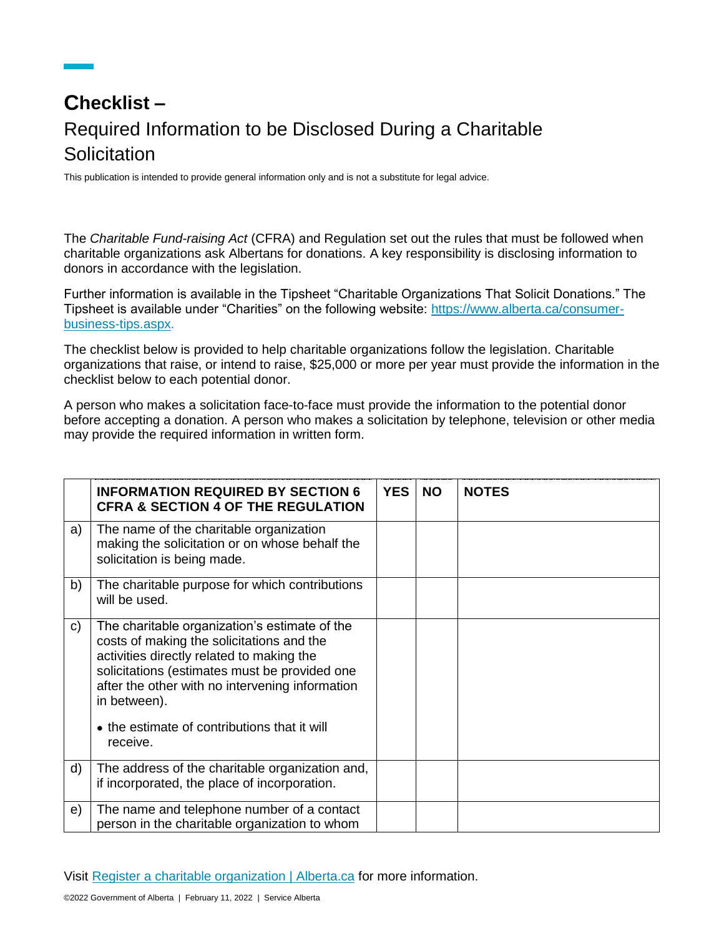## **Checklist –** Required Information to be Disclosed During a Charitable **Solicitation**

This publication is intended to provide general information only and is not a substitute for legal advice.

The *Charitable Fund-raising Act* (CFRA) and Regulation set out the rules that must be followed when charitable organizations ask Albertans for donations. A key responsibility is disclosing information to donors in accordance with the legislation.

Further information is available in the Tipsheet "Charitable Organizations That Solicit Donations." The Tipsheet is available under "Charities" on the following website: [https://www.alberta.ca/consumer](https://www.alberta.ca/consumer-business-tips.aspx)[business-tips.aspx.](https://www.alberta.ca/consumer-business-tips.aspx)

The checklist below is provided to help charitable organizations follow the legislation. Charitable organizations that raise, or intend to raise, \$25,000 or more per year must provide the information in the checklist below to each potential donor.

A person who makes a solicitation face-to-face must provide the information to the potential donor before accepting a donation. A person who makes a solicitation by telephone, television or other media may provide the required information in written form.

|              | <b>INFORMATION REQUIRED BY SECTION 6</b><br><b>CFRA &amp; SECTION 4 OF THE REGULATION</b>                                                                                                                                                                                                                               | <b>YES</b> | <b>NO</b> | <b>NOTES</b> |
|--------------|-------------------------------------------------------------------------------------------------------------------------------------------------------------------------------------------------------------------------------------------------------------------------------------------------------------------------|------------|-----------|--------------|
| a)           | The name of the charitable organization<br>making the solicitation or on whose behalf the<br>solicitation is being made.                                                                                                                                                                                                |            |           |              |
| b)           | The charitable purpose for which contributions<br>will be used.                                                                                                                                                                                                                                                         |            |           |              |
| $\mathsf{c}$ | The charitable organization's estimate of the<br>costs of making the solicitations and the<br>activities directly related to making the<br>solicitations (estimates must be provided one<br>after the other with no intervening information<br>in between).<br>• the estimate of contributions that it will<br>receive. |            |           |              |
| d)           | The address of the charitable organization and,<br>if incorporated, the place of incorporation.                                                                                                                                                                                                                         |            |           |              |
| e)           | The name and telephone number of a contact<br>person in the charitable organization to whom                                                                                                                                                                                                                             |            |           |              |

Visit [Register a charitable organization | Alberta.ca](https://www.alberta.ca/register-charitable-organization.aspx) for more information.